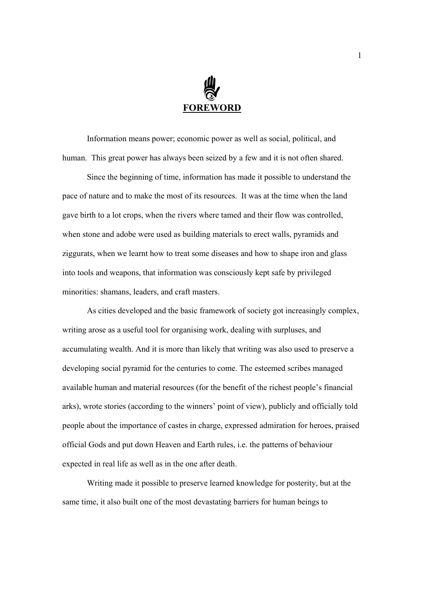

Information means power; economic power as well as social, political, and human. This great power has always been seized by a few and it is not often shared.

Since the beginning of time, information has made it possible to understand the pace of nature and to make the most of its resources. It was at the time when the land gave birth to a lot crops, when the rivers where tamed and their flow was controlled, when stone and adobe were used as building materials to erect walls, pyramids and ziggurats, when we learnt how to treat some diseases and how to shape iron and glass into tools and weapons, that information was consciously kept safe by privileged minorities: shamans, leaders, and craft masters.

As cities developed and the basic framework of society got increasingly complex, writing arose as a useful tool for organising work, dealing with surpluses, and accumulating wealth. And it is more than likely that writing was also used to preserve a developing social pyramid for the centuries to come. The esteemed scribes managed available human and material resources (for the benefit of the richest people's financial arks), wrote stories (according to the winners' point of view), publicly and officially told people about the importance of castes in charge, expressed admiration for heroes, praised official Gods and put down Heaven and Earth rules, i.e. the patterns of behaviour expected in real life as well as in the one after death.

Writing made it possible to preserve learned knowledge for posterity, but at the same time, it also built one of the most devastating barriers for human beings to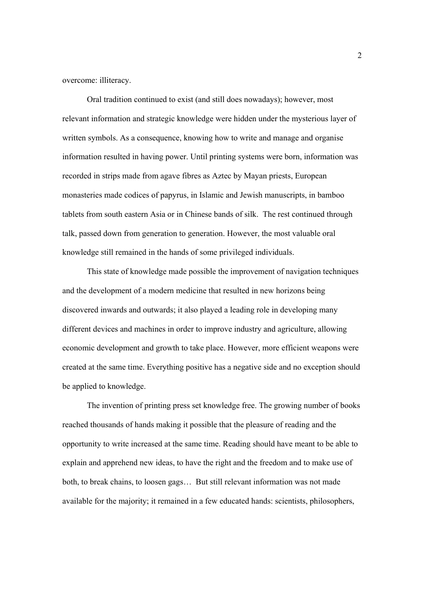overcome: illiteracy.

Oral tradition continued to exist (and still does nowadays); however, most relevant information and strategic knowledge were hidden under the mysterious layer of written symbols. As a consequence, knowing how to write and manage and organise information resulted in having power. Until printing systems were born, information was recorded in strips made from agave fibres as Aztec by Mayan priests, European monasteries made codices of papyrus, in Islamic and Jewish manuscripts, in bamboo tablets from south eastern Asia or in Chinese bands of silk. The rest continued through talk, passed down from generation to generation. However, the most valuable oral knowledge still remained in the hands of some privileged individuals.

This state of knowledge made possible the improvement of navigation techniques and the development of a modern medicine that resulted in new horizons being discovered inwards and outwards; it also played a leading role in developing many different devices and machines in order to improve industry and agriculture, allowing economic development and growth to take place. However, more efficient weapons were created at the same time. Everything positive has a negative side and no exception should be applied to knowledge.

The invention of printing press set knowledge free. The growing number of books reached thousands of hands making it possible that the pleasure of reading and the opportunity to write increased at the same time. Reading should have meant to be able to explain and apprehend new ideas, to have the right and the freedom and to make use of both, to break chains, to loosen gags… But still relevant information was not made available for the majority; it remained in a few educated hands: scientists, philosophers,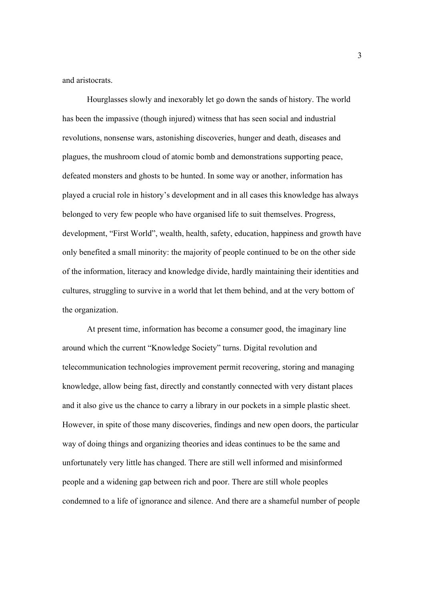and aristocrats.

Hourglasses slowly and inexorably let go down the sands of history. The world has been the impassive (though injured) witness that has seen social and industrial revolutions, nonsense wars, astonishing discoveries, hunger and death, diseases and plagues, the mushroom cloud of atomic bomb and demonstrations supporting peace, defeated monsters and ghosts to be hunted. In some way or another, information has played a crucial role in history's development and in all cases this knowledge has always belonged to very few people who have organised life to suit themselves. Progress, development, "First World", wealth, health, safety, education, happiness and growth have only benefited a small minority: the majority of people continued to be on the other side of the information, literacy and knowledge divide, hardly maintaining their identities and cultures, struggling to survive in a world that let them behind, and at the very bottom of the organization.

At present time, information has become a consumer good, the imaginary line around which the current "Knowledge Society" turns. Digital revolution and telecommunication technologies improvement permit recovering, storing and managing knowledge, allow being fast, directly and constantly connected with very distant places and it also give us the chance to carry a library in our pockets in a simple plastic sheet. However, in spite of those many discoveries, findings and new open doors, the particular way of doing things and organizing theories and ideas continues to be the same and unfortunately very little has changed. There are still well informed and misinformed people and a widening gap between rich and poor. There are still whole peoples condemned to a life of ignorance and silence. And there are a shameful number of people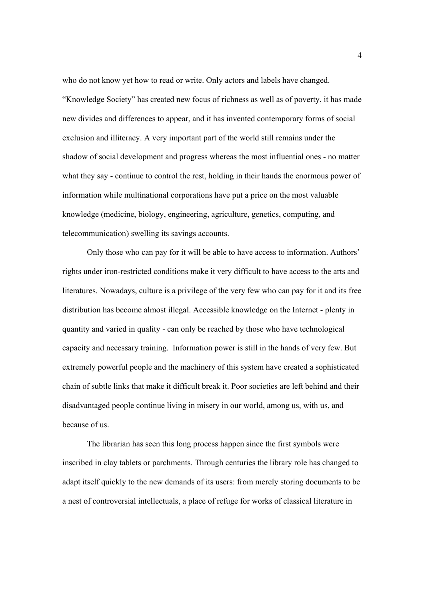who do not know yet how to read or write. Only actors and labels have changed. "Knowledge Society" has created new focus of richness as well as of poverty, it has made new divides and differences to appear, and it has invented contemporary forms of social exclusion and illiteracy. A very important part of the world still remains under the shadow of social development and progress whereas the most influential ones - no matter what they say - continue to control the rest, holding in their hands the enormous power of information while multinational corporations have put a price on the most valuable knowledge (medicine, biology, engineering, agriculture, genetics, computing, and telecommunication) swelling its savings accounts.

Only those who can pay for it will be able to have access to information. Authors' rights under iron-restricted conditions make it very difficult to have access to the arts and literatures. Nowadays, culture is a privilege of the very few who can pay for it and its free distribution has become almost illegal. Accessible knowledge on the Internet - plenty in quantity and varied in quality - can only be reached by those who have technological capacity and necessary training. Information power is still in the hands of very few. But extremely powerful people and the machinery of this system have created a sophisticated chain of subtle links that make it difficult break it. Poor societies are left behind and their disadvantaged people continue living in misery in our world, among us, with us, and because of us.

The librarian has seen this long process happen since the first symbols were inscribed in clay tablets or parchments. Through centuries the library role has changed to adapt itself quickly to the new demands of its users: from merely storing documents to be a nest of controversial intellectuals, a place of refuge for works of classical literature in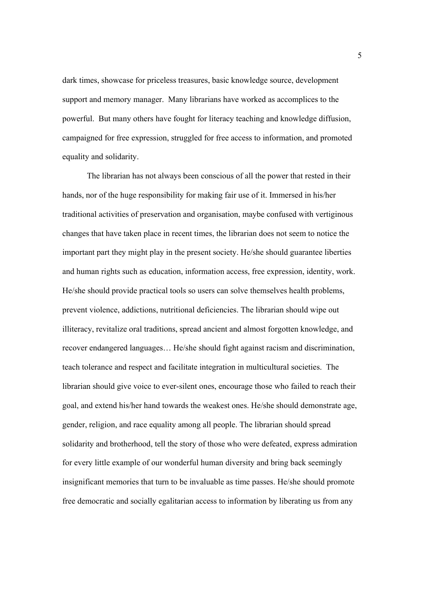dark times, showcase for priceless treasures, basic knowledge source, development support and memory manager. Many librarians have worked as accomplices to the powerful. But many others have fought for literacy teaching and knowledge diffusion, campaigned for free expression, struggled for free access to information, and promoted equality and solidarity.

The librarian has not always been conscious of all the power that rested in their hands, nor of the huge responsibility for making fair use of it. Immersed in his/her traditional activities of preservation and organisation, maybe confused with vertiginous changes that have taken place in recent times, the librarian does not seem to notice the important part they might play in the present society. He/she should guarantee liberties and human rights such as education, information access, free expression, identity, work. He/she should provide practical tools so users can solve themselves health problems, prevent violence, addictions, nutritional deficiencies. The librarian should wipe out illiteracy, revitalize oral traditions, spread ancient and almost forgotten knowledge, and recover endangered languages… He/she should fight against racism and discrimination, teach tolerance and respect and facilitate integration in multicultural societies. The librarian should give voice to ever-silent ones, encourage those who failed to reach their goal, and extend his/her hand towards the weakest ones. He/she should demonstrate age, gender, religion, and race equality among all people. The librarian should spread solidarity and brotherhood, tell the story of those who were defeated, express admiration for every little example of our wonderful human diversity and bring back seemingly insignificant memories that turn to be invaluable as time passes. He/she should promote free democratic and socially egalitarian access to information by liberating us from any

5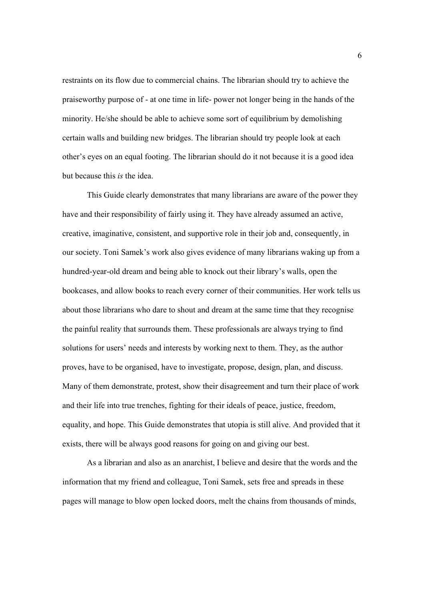restraints on its flow due to commercial chains. The librarian should try to achieve the praiseworthy purpose of - at one time in life- power not longer being in the hands of the minority. He/she should be able to achieve some sort of equilibrium by demolishing certain walls and building new bridges. The librarian should try people look at each other's eyes on an equal footing. The librarian should do it not because it is a good idea but because this *is* the idea.

This Guide clearly demonstrates that many librarians are aware of the power they have and their responsibility of fairly using it. They have already assumed an active, creative, imaginative, consistent, and supportive role in their job and, consequently, in our society. Toni Samek's work also gives evidence of many librarians waking up from a hundred-year-old dream and being able to knock out their library's walls, open the bookcases, and allow books to reach every corner of their communities. Her work tells us about those librarians who dare to shout and dream at the same time that they recognise the painful reality that surrounds them. These professionals are always trying to find solutions for users' needs and interests by working next to them. They, as the author proves, have to be organised, have to investigate, propose, design, plan, and discuss. Many of them demonstrate, protest, show their disagreement and turn their place of work and their life into true trenches, fighting for their ideals of peace, justice, freedom, equality, and hope. This Guide demonstrates that utopia is still alive. And provided that it exists, there will be always good reasons for going on and giving our best.

As a librarian and also as an anarchist, I believe and desire that the words and the information that my friend and colleague, Toni Samek, sets free and spreads in these pages will manage to blow open locked doors, melt the chains from thousands of minds,

6